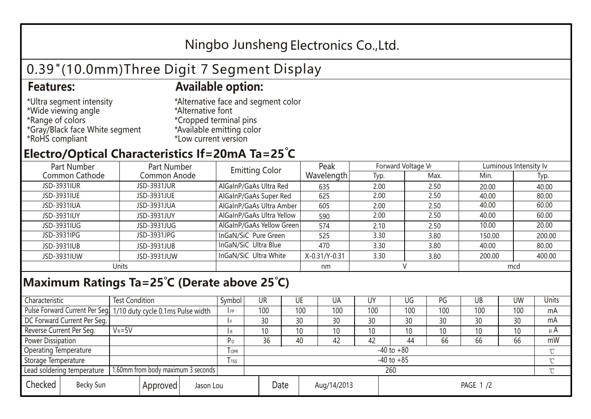## Ningbo Junsheng Electronics Co.,Ltd.

# 0.39"(10.0mm)Three Digit 7 Segment Display

### **Features: Available option:**

- \*Ultra segment intensity \*Wide viewing angle \*Range of colors \*Gray/Black face White segment \*RoHS compliant
- \*Alternative face and segment color \*Alternative font \*Cropped terminal pins \*Available emitting color \*Low current version

### **Electro/Optical Characteristics If=20mA Ta=25 C**

| Part Number<br>Part Number |              | <b>Emitting Color</b>     | Peak          | Forward Voltage VF |      | Luminous Intensity lv |        |  |
|----------------------------|--------------|---------------------------|---------------|--------------------|------|-----------------------|--------|--|
| Common Cathode             | Common Anode |                           | Wavelength    | Typ.               | Max. | Min.                  | Typ.   |  |
| JSD-3931IUR                | JSD-3931JUR  | AlGaInP/GaAs Ultra Red    | 635           | 2.00               | 2.50 | 20.00                 | 40.00  |  |
| JSD-3931IUE                | JSD-3931JUE  | AlGaInP/GaAs Super Red    | 625           | 2.00               | 2.50 | 40.00                 | 80.00  |  |
| JSD-3931IUA                | JSD-3931JUA  | AlGaInP/GaAs Ultra Amber  | 605           | 2.00               | 2.50 | 40.00                 | 60.00  |  |
| JSD-3931IUY                | JSD-3931JUY  | AlGaInP/GaAs Ultra Yellow | 590           | 2.00               | 2.50 | 40.00                 | 60.00  |  |
| JSD-3931IUG                | JSD-3931JUG  | AlGaInP/GaAs Yellow Green | 574           | 2.10               | 2.50 | 10.00                 | 20.00  |  |
| JSD-3931IPG                | JSD-3931JPG  | InGaN/SiC Pure Green      | 525           | 3.30               | 3.80 | 150.00                | 200.00 |  |
| JSD-3931IUB                | JSD-3931JUB  | InGaN/SiC Ultra Blue      | 470           | 3.30               | 3.80 | 40.00                 | 80.00  |  |
| JSD-3931IUW                | JSD-3931JUW  | InGaN/SiC Ultra White     | X-0.31/Y-0.31 | 3.30               | 3.80 | 200.00                | 400.00 |  |
| Units                      |              |                           | nm            |                    |      | mcd                   |        |  |

### **Maximum Ratings Ta=25°C (Derate above 25°C)**

| Characteristic                                |  | <b>Test Condition</b>                                           |                         |                     | Symbol | <b>UR</b> |  | UE       | UA              | UY  | UG  | PG  | UB       | <b>UW</b> | <b>Units</b> |
|-----------------------------------------------|--|-----------------------------------------------------------------|-------------------------|---------------------|--------|-----------|--|----------|-----------------|-----|-----|-----|----------|-----------|--------------|
|                                               |  | Pulse Forward Current Per Seg 1/10 duty cycle 0.1ms Pulse width |                         |                     | I FP   | 100       |  | 100      | 100             | 100 | 100 | 100 | 100      | 100       | mA           |
| DC Forward Current Per Seg.                   |  |                                                                 |                         |                     |        | 30        |  | 30       | 30              | 30  | 30  | 30  | 30       | 30        | mA           |
| Reverse Current Per Seg.                      |  | $V_R = 5V$                                                      |                         |                     | l R    | 10        |  | 10       | 10 <sup>°</sup> | 10  | 10  | 10  | 10       | 10        | $\mu$ A      |
| <b>Power Dissipation</b>                      |  |                                                                 |                         |                     | РD     | 36        |  | 40       | 42              | 42  | 44  | 66  | 66       | 66        | mW           |
| <b>Operating Temperature</b>                  |  |                                                                 | <b>TOPR</b>             | $-40$ to $+80$      |        |           |  |          |                 |     |     |     | $\gamma$ |           |              |
| Storage Temperature                           |  |                                                                 | <b>T</b> <sub>rsg</sub> | $-40$ to $+85$      |        |           |  |          |                 |     |     |     | °C       |           |              |
| Lead soldering temperature                    |  | 1.60mm from body maximum 3 seconds                              |                         |                     |        | 260<br>≧  |  |          |                 |     |     |     |          |           |              |
| Checked<br>Becky Sun<br>Approved<br>Jason Lou |  |                                                                 |                         | Date<br>Aug/14/2013 |        |           |  | PAGE 1/2 |                 |     |     |     |          |           |              |